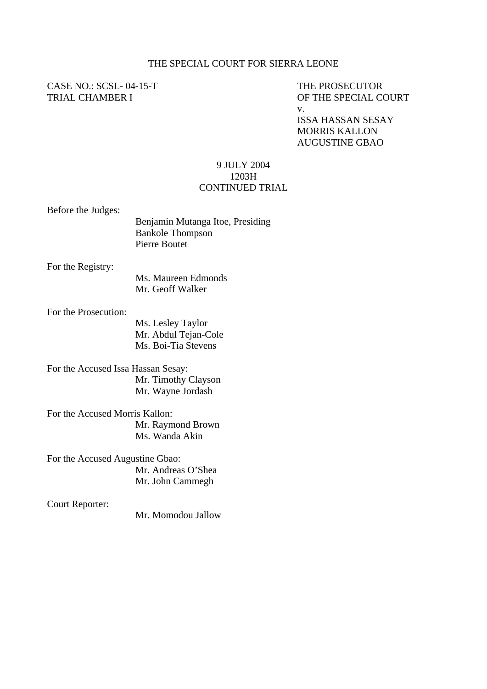## THE SPECIAL COURT FOR SIERRA LEONE

## CASE NO.: SCSL-04-15-T THE PROSECUTOR

TRIAL CHAMBER I OF THE SPECIAL COURT v.

> ISSA HASSAN SESAY MORRIS KALLON AUGUSTINE GBAO

## 9 JULY 2004 1203H CONTINUED TRIAL

Before the Judges:

| Benjamin Mutanga Itoe, Presiding |
|----------------------------------|
| <b>Bankole Thompson</b>          |
| Pierre Boutet                    |

For the Registry:

Ms. Maureen Edmonds Mr. Geoff Walker

For the Prosecution:

 Ms. Lesley Taylor Mr. Abdul Tejan-Cole Ms. Boi-Tia Stevens

For the Accused Issa Hassan Sesay: Mr. Timothy Clayson Mr. Wayne Jordash

For the Accused Morris Kallon: Mr. Raymond Brown Ms. Wanda Akin

For the Accused Augustine Gbao: Mr. Andreas O'Shea Mr. John Cammegh

Court Reporter:

Mr. Momodou Jallow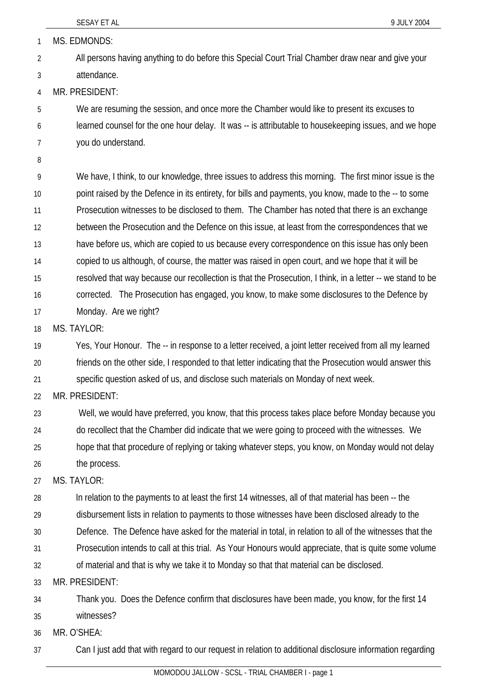SESAY ET AL 8 9 JULY 2004 1 MS. EDMONDS: 2 3 4 5 6 7 8 9 10 11 12 13 14 15 16 17 18 19 20 21 22 23 24 25 26 27 28 29 30 31 32 33 34 35 36 All persons having anything to do before this Special Court Trial Chamber draw near and give your attendance. MR. PRESIDENT: We are resuming the session, and once more the Chamber would like to present its excuses to learned counsel for the one hour delay. It was -- is attributable to housekeeping issues, and we hope you do understand. We have, I think, to our knowledge, three issues to address this morning. The first minor issue is the point raised by the Defence in its entirety, for bills and payments, you know, made to the -- to some Prosecution witnesses to be disclosed to them. The Chamber has noted that there is an exchange between the Prosecution and the Defence on this issue, at least from the correspondences that we have before us, which are copied to us because every correspondence on this issue has only been copied to us although, of course, the matter was raised in open court, and we hope that it will be resolved that way because our recollection is that the Prosecution, I think, in a letter -- we stand to be corrected. The Prosecution has engaged, you know, to make some disclosures to the Defence by Monday. Are we right? MS. TAYI OR: Yes, Your Honour. The -- in response to a letter received, a joint letter received from all my learned friends on the other side, I responded to that letter indicating that the Prosecution would answer this specific question asked of us, and disclose such materials on Monday of next week. MR. PRESIDENT: Well, we would have preferred, you know, that this process takes place before Monday because you do recollect that the Chamber did indicate that we were going to proceed with the witnesses. We hope that that procedure of replying or taking whatever steps, you know, on Monday would not delay the process. MS. TAYLOR: In relation to the payments to at least the first 14 witnesses, all of that material has been -- the disbursement lists in relation to payments to those witnesses have been disclosed already to the Defence. The Defence have asked for the material in total, in relation to all of the witnesses that the Prosecution intends to call at this trial. As Your Honours would appreciate, that is quite some volume of material and that is why we take it to Monday so that that material can be disclosed. MR. PRESIDENT: Thank you. Does the Defence confirm that disclosures have been made, you know, for the first 14 witnesses? MR. O'SHEA:

37 Can I just add that with regard to our request in relation to additional disclosure information regarding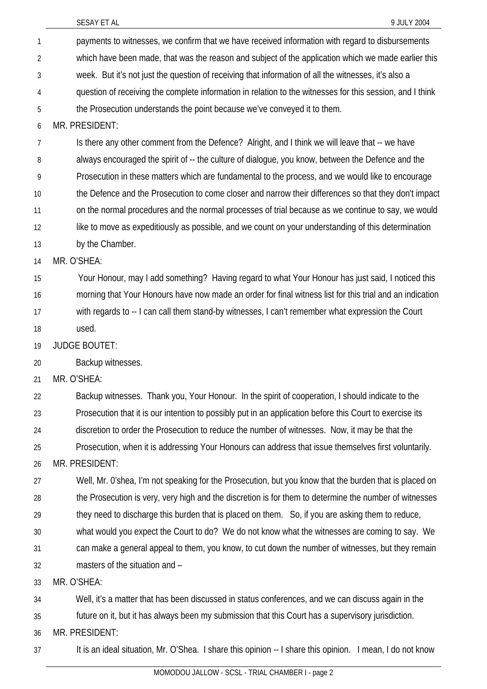| 1              | payments to witnesses, we confirm that we have received information with regard to disbursements          |
|----------------|-----------------------------------------------------------------------------------------------------------|
| $\overline{2}$ | which have been made, that was the reason and subject of the application which we made earlier this       |
| 3              | week. But it's not just the question of receiving that information of all the witnesses, it's also a      |
| 4              | question of receiving the complete information in relation to the witnesses for this session, and I think |
| 5              | the Prosecution understands the point because we've conveyed it to them.                                  |
| 6              | MR. PRESIDENT:                                                                                            |
| 7              | Is there any other comment from the Defence? Alright, and I think we will leave that -- we have           |
| 8              | always encouraged the spirit of -- the culture of dialogue, you know, between the Defence and the         |
| 9              | Prosecution in these matters which are fundamental to the process, and we would like to encourage         |
| 10             | the Defence and the Prosecution to come closer and narrow their differences so that they don't impact     |
| 11             | on the normal procedures and the normal processes of trial because as we continue to say, we would        |
| 12             | like to move as expeditiously as possible, and we count on your understanding of this determination       |
| 13             | by the Chamber.                                                                                           |
| 14             | MR. O'SHEA:                                                                                               |
| 15             | Your Honour, may I add something? Having regard to what Your Honour has just said, I noticed this         |
| 16             | morning that Your Honours have now made an order for final witness list for this trial and an indication  |
| 17             | with regards to -- I can call them stand-by witnesses, I can't remember what expression the Court         |
| 18             | used.                                                                                                     |
| 19             | <b>JUDGE BOUTET:</b>                                                                                      |
| 20             | Backup witnesses.                                                                                         |
| 21             | MR. O'SHEA:                                                                                               |
| 22             | Backup witnesses. Thank you, Your Honour. In the spirit of cooperation, I should indicate to the          |
| 23             | Prosecution that it is our intention to possibly put in an application before this Court to exercise its  |
| 24             | discretion to order the Prosecution to reduce the number of witnesses. Now, it may be that the            |
| 25             | Prosecution, when it is addressing Your Honours can address that issue themselves first voluntarily.      |
| 26             | MR. PRESIDENT:                                                                                            |
| 27             | Well, Mr. O'shea, I'm not speaking for the Prosecution, but you know that the burden that is placed on    |
| 28             | the Prosecution is very, very high and the discretion is for them to determine the number of witnesses    |
| 29             | they need to discharge this burden that is placed on them. So, if you are asking them to reduce,          |
| 30             | what would you expect the Court to do? We do not know what the witnesses are coming to say. We            |
| 31             | can make a general appeal to them, you know, to cut down the number of witnesses, but they remain         |
| 32             | masters of the situation and -                                                                            |
| 33             | MR. O'SHEA:                                                                                               |
| 34             | Well, it's a matter that has been discussed in status conferences, and we can discuss again in the        |
| 35             | future on it, but it has always been my submission that this Court has a supervisory jurisdiction.        |
| 36             | MR. PRESIDENT:                                                                                            |
| 37             | It is an ideal situation, Mr. O'Shea. I share this opinion -- I share this opinion. I mean, I do not know |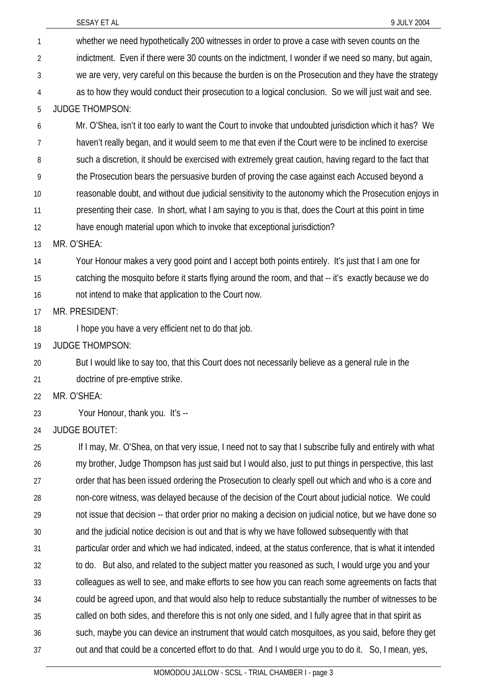| $\mathbf{1}$ | whether we need hypothetically 200 witnesses in order to prove a case with seven counts on the            |
|--------------|-----------------------------------------------------------------------------------------------------------|
| 2            | indictment. Even if there were 30 counts on the indictment, I wonder if we need so many, but again,       |
| 3            | we are very, very careful on this because the burden is on the Prosecution and they have the strategy     |
| 4            | as to how they would conduct their prosecution to a logical conclusion. So we will just wait and see.     |
| 5            | <b>JUDGE THOMPSON:</b>                                                                                    |
| 6            | Mr. O'Shea, isn't it too early to want the Court to invoke that undoubted jurisdiction which it has? We   |
| 7            | haven't really began, and it would seem to me that even if the Court were to be inclined to exercise      |
| 8            | such a discretion, it should be exercised with extremely great caution, having regard to the fact that    |
| 9            | the Prosecution bears the persuasive burden of proving the case against each Accused beyond a             |
| 10           | reasonable doubt, and without due judicial sensitivity to the autonomy which the Prosecution enjoys in    |
| 11           | presenting their case. In short, what I am saying to you is that, does the Court at this point in time    |
| 12           | have enough material upon which to invoke that exceptional jurisdiction?                                  |
| 13           | MR. O'SHEA:                                                                                               |
| 14           | Your Honour makes a very good point and I accept both points entirely. It's just that I am one for        |
| 15           | catching the mosquito before it starts flying around the room, and that -- it's exactly because we do     |
| 16           | not intend to make that application to the Court now.                                                     |
| 17           | MR. PRESIDENT:                                                                                            |
| 18           | I hope you have a very efficient net to do that job.                                                      |
| 19           | <b>JUDGE THOMPSON:</b>                                                                                    |
| 20           | But I would like to say too, that this Court does not necessarily believe as a general rule in the        |
| 21           | doctrine of pre-emptive strike.                                                                           |
| 22           | MR. O'SHEA:                                                                                               |
| 23           | Your Honour, thank you. It's --                                                                           |
| 24           | <b>JUDGE BOUTET:</b>                                                                                      |
| 25           | If I may, Mr. O'Shea, on that very issue, I need not to say that I subscribe fully and entirely with what |
| 26           | my brother, Judge Thompson has just said but I would also, just to put things in perspective, this last   |
| 27           | order that has been issued ordering the Prosecution to clearly spell out which and who is a core and      |
| 28           | non-core witness, was delayed because of the decision of the Court about judicial notice. We could        |
| 29           | not issue that decision -- that order prior no making a decision on judicial notice, but we have done so  |
| 30           | and the judicial notice decision is out and that is why we have followed subsequently with that           |
| 31           | particular order and which we had indicated, indeed, at the status conference, that is what it intended   |
| 32           | to do. But also, and related to the subject matter you reasoned as such, I would urge you and your        |
| 33           | colleagues as well to see, and make efforts to see how you can reach some agreements on facts that        |
| 34           | could be agreed upon, and that would also help to reduce substantially the number of witnesses to be      |
| 35           | called on both sides, and therefore this is not only one sided, and I fully agree that in that spirit as  |
| 36           | such, maybe you can device an instrument that would catch mosquitoes, as you said, before they get        |
| 37           | out and that could be a concerted effort to do that. And I would urge you to do it. So, I mean, yes,      |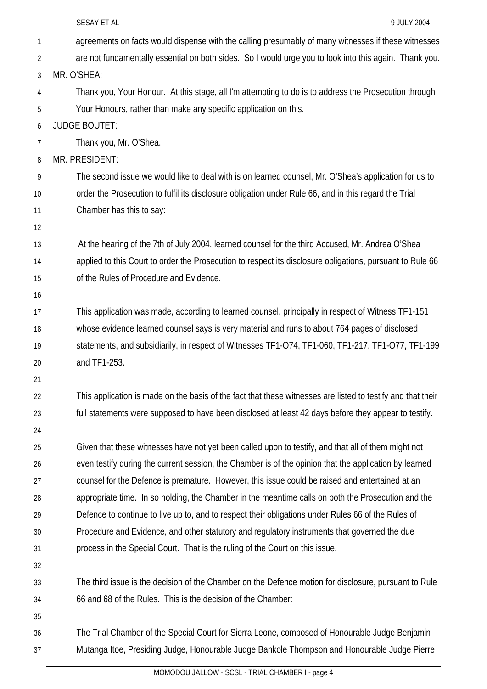| 1  | agreements on facts would dispense with the calling presumably of many witnesses if these witnesses         |
|----|-------------------------------------------------------------------------------------------------------------|
| 2  | are not fundamentally essential on both sides. So I would urge you to look into this again. Thank you.      |
| 3  | MR. O'SHEA:                                                                                                 |
| 4  | Thank you, Your Honour. At this stage, all I'm attempting to do is to address the Prosecution through       |
| 5  | Your Honours, rather than make any specific application on this.                                            |
| 6  | <b>JUDGE BOUTET:</b>                                                                                        |
| 7  | Thank you, Mr. O'Shea.                                                                                      |
| 8  | MR. PRESIDENT:                                                                                              |
| 9  | The second issue we would like to deal with is on learned counsel, Mr. O'Shea's application for us to       |
| 10 | order the Prosecution to fulfil its disclosure obligation under Rule 66, and in this regard the Trial       |
| 11 | Chamber has this to say:                                                                                    |
| 12 |                                                                                                             |
| 13 | At the hearing of the 7th of July 2004, learned counsel for the third Accused, Mr. Andrea O'Shea            |
| 14 | applied to this Court to order the Prosecution to respect its disclosure obligations, pursuant to Rule 66   |
| 15 | of the Rules of Procedure and Evidence.                                                                     |
| 16 |                                                                                                             |
| 17 | This application was made, according to learned counsel, principally in respect of Witness TF1-151          |
| 18 | whose evidence learned counsel says is very material and runs to about 764 pages of disclosed               |
| 19 | statements, and subsidiarily, in respect of Witnesses TF1-074, TF1-060, TF1-217, TF1-077, TF1-199           |
| 20 | and TF1-253.                                                                                                |
| 21 |                                                                                                             |
| 22 | This application is made on the basis of the fact that these witnesses are listed to testify and that their |
| 23 | full statements were supposed to have been disclosed at least 42 days before they appear to testify.        |
| 24 |                                                                                                             |
| 25 | Given that these witnesses have not yet been called upon to testify, and that all of them might not         |
| 26 | even testify during the current session, the Chamber is of the opinion that the application by learned      |
| 27 | counsel for the Defence is premature. However, this issue could be raised and entertained at an             |
| 28 | appropriate time. In so holding, the Chamber in the meantime calls on both the Prosecution and the          |
| 29 | Defence to continue to live up to, and to respect their obligations under Rules 66 of the Rules of          |
| 30 | Procedure and Evidence, and other statutory and regulatory instruments that governed the due                |
| 31 | process in the Special Court. That is the ruling of the Court on this issue.                                |
| 32 |                                                                                                             |
| 33 | The third issue is the decision of the Chamber on the Defence motion for disclosure, pursuant to Rule       |
| 34 | 66 and 68 of the Rules. This is the decision of the Chamber:                                                |
| 35 |                                                                                                             |
| 36 | The Trial Chamber of the Special Court for Sierra Leone, composed of Honourable Judge Benjamin              |
| 37 | Mutanga Itoe, Presiding Judge, Honourable Judge Bankole Thompson and Honourable Judge Pierre                |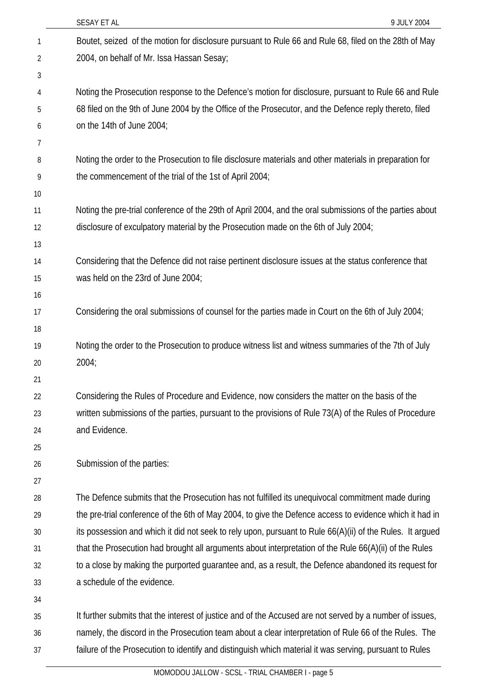|    | SESAY ET AL<br>9 JULY 2004                                                                                |
|----|-----------------------------------------------------------------------------------------------------------|
| 1  | Boutet, seized of the motion for disclosure pursuant to Rule 66 and Rule 68, filed on the 28th of May     |
| 2  | 2004, on behalf of Mr. Issa Hassan Sesay;                                                                 |
| 3  |                                                                                                           |
| 4  | Noting the Prosecution response to the Defence's motion for disclosure, pursuant to Rule 66 and Rule      |
| 5  | 68 filed on the 9th of June 2004 by the Office of the Prosecutor, and the Defence reply thereto, filed    |
| 6  | on the 14th of June 2004;                                                                                 |
| 7  |                                                                                                           |
| 8  | Noting the order to the Prosecution to file disclosure materials and other materials in preparation for   |
| 9  | the commencement of the trial of the 1st of April 2004;                                                   |
| 10 |                                                                                                           |
| 11 | Noting the pre-trial conference of the 29th of April 2004, and the oral submissions of the parties about  |
| 12 | disclosure of exculpatory material by the Prosecution made on the 6th of July 2004;                       |
| 13 |                                                                                                           |
| 14 | Considering that the Defence did not raise pertinent disclosure issues at the status conference that      |
| 15 | was held on the 23rd of June 2004;                                                                        |
| 16 |                                                                                                           |
| 17 | Considering the oral submissions of counsel for the parties made in Court on the 6th of July 2004;        |
| 18 |                                                                                                           |
| 19 | Noting the order to the Prosecution to produce witness list and witness summaries of the 7th of July      |
| 20 | 2004;                                                                                                     |
| 21 |                                                                                                           |
| 22 | Considering the Rules of Procedure and Evidence, now considers the matter on the basis of the             |
| 23 | written submissions of the parties, pursuant to the provisions of Rule 73(A) of the Rules of Procedure    |
| 24 | and Evidence.                                                                                             |
| 25 |                                                                                                           |
| 26 | Submission of the parties:                                                                                |
| 27 |                                                                                                           |
| 28 | The Defence submits that the Prosecution has not fulfilled its unequivocal commitment made during         |
| 29 | the pre-trial conference of the 6th of May 2004, to give the Defence access to evidence which it had in   |
| 30 | its possession and which it did not seek to rely upon, pursuant to Rule 66(A)(ii) of the Rules. It argued |
| 31 | that the Prosecution had brought all arguments about interpretation of the Rule 66(A)(ii) of the Rules    |
| 32 | to a close by making the purported guarantee and, as a result, the Defence abandoned its request for      |
| 33 | a schedule of the evidence.                                                                               |
| 34 |                                                                                                           |
| 35 | It further submits that the interest of justice and of the Accused are not served by a number of issues,  |
| 36 | namely, the discord in the Prosecution team about a clear interpretation of Rule 66 of the Rules. The     |
| 37 | failure of the Prosecution to identify and distinguish which material it was serving, pursuant to Rules   |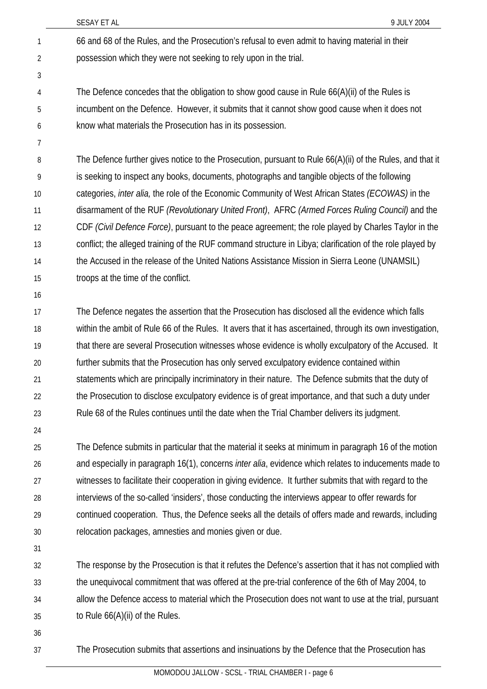- 66 and 68 of the Rules, and the Prosecution's refusal to even admit to having material in their possession which they were not seeking to rely upon in the trial. 1 2
- The Defence concedes that the obligation to show good cause in Rule 66(A)(ii) of the Rules is incumbent on the Defence. However, it submits that it cannot show good cause when it does not know what materials the Prosecution has in its possession. 4 5 6
- 7

3

The Defence further gives notice to the Prosecution, pursuant to Rule 66(A)(ii) of the Rules, and that it is seeking to inspect any books, documents, photographs and tangible objects of the following categories, *inter alia,* the role of the Economic Community of West African States *(ECOWAS)* in the disarmament of the RUF *(Revolutionary United Front)*, AFRC *(Armed Forces Ruling Council)* and the CDF *(Civil Defence Force)*, pursuant to the peace agreement; the role played by Charles Taylor in the conflict; the alleged training of the RUF command structure in Libya; clarification of the role played by the Accused in the release of the United Nations Assistance Mission in Sierra Leone (UNAMSIL) troops at the time of the conflict. 8 9 10 11 12 13 14 15

16

The Defence negates the assertion that the Prosecution has disclosed all the evidence which falls within the ambit of Rule 66 of the Rules. It avers that it has ascertained, through its own investigation, that there are several Prosecution witnesses whose evidence is wholly exculpatory of the Accused. It further submits that the Prosecution has only served exculpatory evidence contained within statements which are principally incriminatory in their nature. The Defence submits that the duty of the Prosecution to disclose exculpatory evidence is of great importance, and that such a duty under Rule 68 of the Rules continues until the date when the Trial Chamber delivers its judgment. 17 18 19 20 21 22 23

24

The Defence submits in particular that the material it seeks at minimum in paragraph 16 of the motion and especially in paragraph 16(1), concerns *inter alia*, evidence which relates to inducements made to witnesses to facilitate their cooperation in giving evidence. It further submits that with regard to the interviews of the so-called 'insiders', those conducting the interviews appear to offer rewards for continued cooperation. Thus, the Defence seeks all the details of offers made and rewards, including relocation packages, amnesties and monies given or due. 25 26 27 28 29 30

31

The response by the Prosecution is that it refutes the Defence's assertion that it has not complied with the unequivocal commitment that was offered at the pre-trial conference of the 6th of May 2004, to allow the Defence access to material which the Prosecution does not want to use at the trial, pursuant to Rule 66(A)(ii) of the Rules. 32 33 34 35

36

The Prosecution submits that assertions and insinuations by the Defence that the Prosecution has 37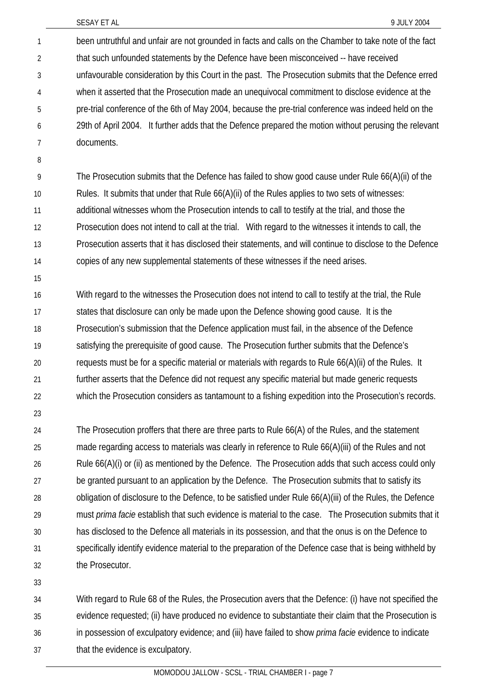been untruthful and unfair are not grounded in facts and calls on the Chamber to take note of the fact that such unfounded statements by the Defence have been misconceived -- have received unfavourable consideration by this Court in the past. The Prosecution submits that the Defence erred when it asserted that the Prosecution made an unequivocal commitment to disclose evidence at the pre-trial conference of the 6th of May 2004, because the pre-trial conference was indeed held on the 29th of April 2004. It further adds that the Defence prepared the motion without perusing the relevant documents. 1 2 3 4 5 6 7

8

The Prosecution submits that the Defence has failed to show good cause under Rule 66(A)(ii) of the Rules. It submits that under that Rule 66(A)(ii) of the Rules applies to two sets of witnesses: additional witnesses whom the Prosecution intends to call to testify at the trial, and those the Prosecution does not intend to call at the trial. With regard to the witnesses it intends to call, the Prosecution asserts that it has disclosed their statements, and will continue to disclose to the Defence copies of any new supplemental statements of these witnesses if the need arises. 9 10 11 12 13 14

15

With regard to the witnesses the Prosecution does not intend to call to testify at the trial, the Rule states that disclosure can only be made upon the Defence showing good cause. It is the Prosecution's submission that the Defence application must fail, in the absence of the Defence satisfying the prerequisite of good cause. The Prosecution further submits that the Defence's requests must be for a specific material or materials with regards to Rule 66(A)(ii) of the Rules. It further asserts that the Defence did not request any specific material but made generic requests which the Prosecution considers as tantamount to a fishing expedition into the Prosecution's records. 16 17 18 19 20 21 22

23

The Prosecution proffers that there are three parts to Rule 66(A) of the Rules, and the statement made regarding access to materials was clearly in reference to Rule 66(A)(iii) of the Rules and not Rule 66(A)(i) or (ii) as mentioned by the Defence. The Prosecution adds that such access could only be granted pursuant to an application by the Defence. The Prosecution submits that to satisfy its obligation of disclosure to the Defence, to be satisfied under Rule 66(A)(iii) of the Rules, the Defence must *prima facie* establish that such evidence is material to the case. The Prosecution submits that it has disclosed to the Defence all materials in its possession, and that the onus is on the Defence to specifically identify evidence material to the preparation of the Defence case that is being withheld by the Prosecutor. 24 25 26 27 28 29 30 31 32

33

With regard to Rule 68 of the Rules, the Prosecution avers that the Defence: (i) have not specified the evidence requested; (ii) have produced no evidence to substantiate their claim that the Prosecution is in possession of exculpatory evidence; and (iii) have failed to show *prima facie* evidence to indicate that the evidence is exculpatory. 34 35 36 37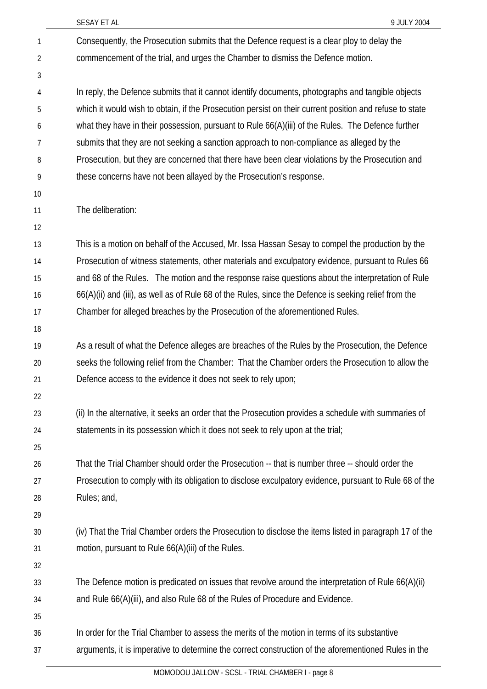| 1              | Consequently, the Prosecution submits that the Defence request is a clear ploy to delay the             |
|----------------|---------------------------------------------------------------------------------------------------------|
| $\overline{2}$ | commencement of the trial, and urges the Chamber to dismiss the Defence motion.                         |
| 3              |                                                                                                         |
| 4              | In reply, the Defence submits that it cannot identify documents, photographs and tangible objects       |
| 5              | which it would wish to obtain, if the Prosecution persist on their current position and refuse to state |
| 6              | what they have in their possession, pursuant to Rule 66(A)(iii) of the Rules. The Defence further       |
| 7              | submits that they are not seeking a sanction approach to non-compliance as alleged by the               |
| 8              | Prosecution, but they are concerned that there have been clear violations by the Prosecution and        |
| 9              | these concerns have not been allayed by the Prosecution's response.                                     |
| 10             |                                                                                                         |
| 11             | The deliberation:                                                                                       |
| 12             |                                                                                                         |
| 13             | This is a motion on behalf of the Accused, Mr. Issa Hassan Sesay to compel the production by the        |
| 14             | Prosecution of witness statements, other materials and exculpatory evidence, pursuant to Rules 66       |
| 15             | and 68 of the Rules. The motion and the response raise questions about the interpretation of Rule       |
| 16             | 66(A)(ii) and (iii), as well as of Rule 68 of the Rules, since the Defence is seeking relief from the   |
| 17             | Chamber for alleged breaches by the Prosecution of the aforementioned Rules.                            |
| 18             |                                                                                                         |
| 19             | As a result of what the Defence alleges are breaches of the Rules by the Prosecution, the Defence       |
| 20             | seeks the following relief from the Chamber: That the Chamber orders the Prosecution to allow the       |
| 21             | Defence access to the evidence it does not seek to rely upon;                                           |
| 22             |                                                                                                         |
| 23             | (ii) In the alternative, it seeks an order that the Prosecution provides a schedule with summaries of   |
| 24             | statements in its possession which it does not seek to rely upon at the trial;                          |
| 25             |                                                                                                         |
| 26             | That the Trial Chamber should order the Prosecution -- that is number three -- should order the         |
| 27             | Prosecution to comply with its obligation to disclose exculpatory evidence, pursuant to Rule 68 of the  |
| 28             | Rules; and,                                                                                             |
| 29             |                                                                                                         |
| 30             | (iv) That the Trial Chamber orders the Prosecution to disclose the items listed in paragraph 17 of the  |
| 31             | motion, pursuant to Rule 66(A)(iii) of the Rules.                                                       |
| 32             |                                                                                                         |
| 33             | The Defence motion is predicated on issues that revolve around the interpretation of Rule 66(A)(ii)     |
| 34             | and Rule 66(A)(iii), and also Rule 68 of the Rules of Procedure and Evidence.                           |
| 35             |                                                                                                         |
| 36             | In order for the Trial Chamber to assess the merits of the motion in terms of its substantive           |
| 37             | arguments, it is imperative to determine the correct construction of the aforementioned Rules in the    |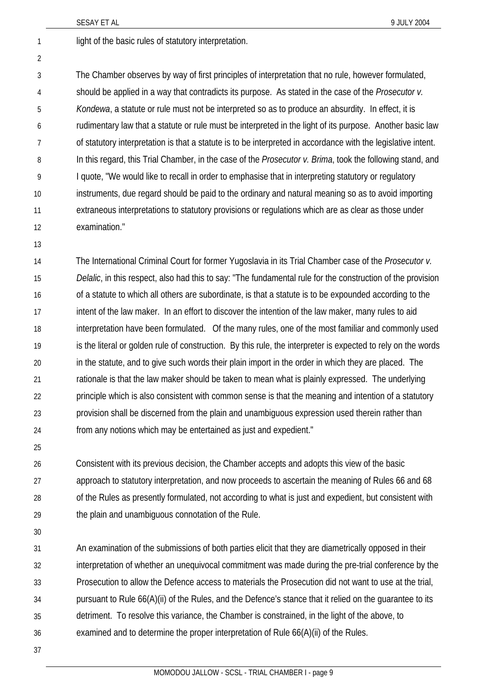1 light of the basic rules of statutory interpretation.

3 4 5 6 7 8 9 10 11 12 The Chamber observes by way of first principles of interpretation that no rule, however formulated, should be applied in a way that contradicts its purpose. As stated in the case of the *Prosecutor v. Kondewa*, a statute or rule must not be interpreted so as to produce an absurdity. In effect, it is rudimentary law that a statute or rule must be interpreted in the light of its purpose. Another basic law of statutory interpretation is that a statute is to be interpreted in accordance with the legislative intent. In this regard, this Trial Chamber, in the case of the *Prosecutor v. Brima*, took the following stand, and I quote, "We would like to recall in order to emphasise that in interpreting statutory or regulatory instruments, due regard should be paid to the ordinary and natural meaning so as to avoid importing extraneous interpretations to statutory provisions or regulations which are as clear as those under examination."

13

2

14 15 16 17 18 19 20 21 22 23 24 The International Criminal Court for former Yugoslavia in its Trial Chamber case of the *Prosecutor v. Delalic*, in this respect, also had this to say: "The fundamental rule for the construction of the provision of a statute to which all others are subordinate, is that a statute is to be expounded according to the intent of the law maker. In an effort to discover the intention of the law maker, many rules to aid interpretation have been formulated. Of the many rules, one of the most familiar and commonly used is the literal or golden rule of construction. By this rule, the interpreter is expected to rely on the words in the statute, and to give such words their plain import in the order in which they are placed. The rationale is that the law maker should be taken to mean what is plainly expressed. The underlying principle which is also consistent with common sense is that the meaning and intention of a statutory provision shall be discerned from the plain and unambiguous expression used therein rather than from any notions which may be entertained as just and expedient."

25

26 27 28 29 Consistent with its previous decision, the Chamber accepts and adopts this view of the basic approach to statutory interpretation, and now proceeds to ascertain the meaning of Rules 66 and 68 of the Rules as presently formulated, not according to what is just and expedient, but consistent with the plain and unambiguous connotation of the Rule.

30

31 32 33 34 35 36 An examination of the submissions of both parties elicit that they are diametrically opposed in their interpretation of whether an unequivocal commitment was made during the pre-trial conference by the Prosecution to allow the Defence access to materials the Prosecution did not want to use at the trial, pursuant to Rule 66(A)(ii) of the Rules, and the Defence's stance that it relied on the guarantee to its detriment. To resolve this variance, the Chamber is constrained, in the light of the above, to examined and to determine the proper interpretation of Rule 66(A)(ii) of the Rules.

37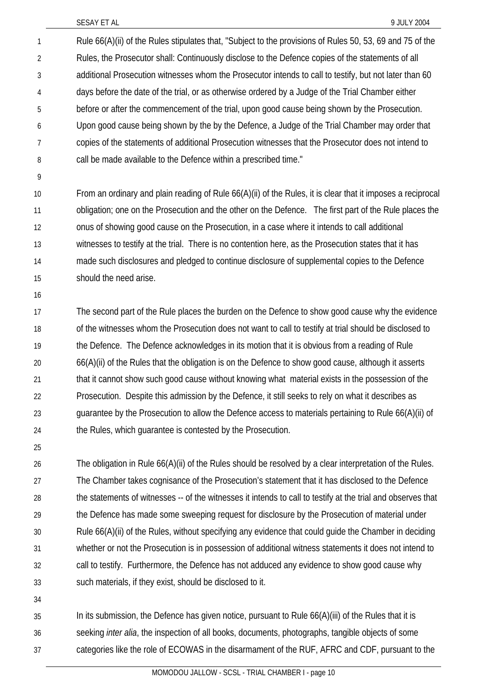Rule 66(A)(ii) of the Rules stipulates that, "Subject to the provisions of Rules 50, 53, 69 and 75 of the Rules, the Prosecutor shall: Continuously disclose to the Defence copies of the statements of all additional Prosecution witnesses whom the Prosecutor intends to call to testify, but not later than 60 days before the date of the trial, or as otherwise ordered by a Judge of the Trial Chamber either before or after the commencement of the trial, upon good cause being shown by the Prosecution. Upon good cause being shown by the by the Defence, a Judge of the Trial Chamber may order that copies of the statements of additional Prosecution witnesses that the Prosecutor does not intend to call be made available to the Defence within a prescribed time." 1 2 3 4 5 6 7 8

9

From an ordinary and plain reading of Rule 66(A)(ii) of the Rules, it is clear that it imposes a reciprocal obligation; one on the Prosecution and the other on the Defence. The first part of the Rule places the onus of showing good cause on the Prosecution, in a case where it intends to call additional witnesses to testify at the trial. There is no contention here, as the Prosecution states that it has made such disclosures and pledged to continue disclosure of supplemental copies to the Defence should the need arise. 10 11 12 13 14 15

16

The second part of the Rule places the burden on the Defence to show good cause why the evidence of the witnesses whom the Prosecution does not want to call to testify at trial should be disclosed to the Defence. The Defence acknowledges in its motion that it is obvious from a reading of Rule 66(A)(ii) of the Rules that the obligation is on the Defence to show good cause, although it asserts that it cannot show such good cause without knowing what material exists in the possession of the Prosecution. Despite this admission by the Defence, it still seeks to rely on what it describes as guarantee by the Prosecution to allow the Defence access to materials pertaining to Rule 66(A)(ii) of the Rules, which guarantee is contested by the Prosecution. 17 18 19 20 21 22 23 24

25

The obligation in Rule 66(A)(ii) of the Rules should be resolved by a clear interpretation of the Rules. The Chamber takes cognisance of the Prosecution's statement that it has disclosed to the Defence the statements of witnesses -- of the witnesses it intends to call to testify at the trial and observes that the Defence has made some sweeping request for disclosure by the Prosecution of material under Rule 66(A)(ii) of the Rules, without specifying any evidence that could guide the Chamber in deciding whether or not the Prosecution is in possession of additional witness statements it does not intend to call to testify. Furthermore, the Defence has not adduced any evidence to show good cause why such materials, if they exist, should be disclosed to it. 26 27 28 29 30 31 32 33

34

In its submission, the Defence has given notice, pursuant to Rule 66(A)(iii) of the Rules that it is seeking *inter alia*, the inspection of all books, documents, photographs, tangible objects of some categories like the role of ECOWAS in the disarmament of the RUF, AFRC and CDF, pursuant to the 35 36 37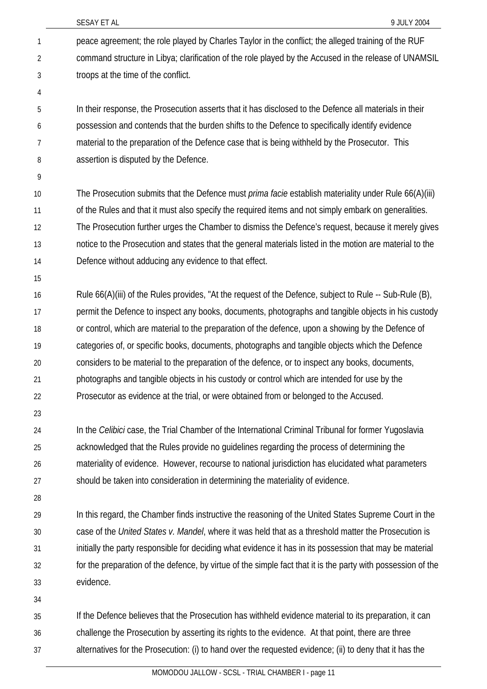| 1  | peace agreement; the role played by Charles Taylor in the conflict; the alleged training of the RUF          |
|----|--------------------------------------------------------------------------------------------------------------|
| 2  | command structure in Libya; clarification of the role played by the Accused in the release of UNAMSIL        |
| 3  | troops at the time of the conflict.                                                                          |
| 4  |                                                                                                              |
| 5  | In their response, the Prosecution asserts that it has disclosed to the Defence all materials in their       |
| 6  | possession and contends that the burden shifts to the Defence to specifically identify evidence              |
| 7  | material to the preparation of the Defence case that is being withheld by the Prosecutor. This               |
| 8  | assertion is disputed by the Defence.                                                                        |
| 9  |                                                                                                              |
| 10 | The Prosecution submits that the Defence must <i>prima facie</i> establish materiality under Rule 66(A)(iii) |
| 11 | of the Rules and that it must also specify the required items and not simply embark on generalities.         |
| 12 | The Prosecution further urges the Chamber to dismiss the Defence's request, because it merely gives          |
| 13 | notice to the Prosecution and states that the general materials listed in the motion are material to the     |
| 14 | Defence without adducing any evidence to that effect.                                                        |
| 15 |                                                                                                              |
| 16 | Rule 66(A)(iii) of the Rules provides, "At the request of the Defence, subject to Rule -- Sub-Rule (B),      |
| 17 | permit the Defence to inspect any books, documents, photographs and tangible objects in his custody          |
| 18 | or control, which are material to the preparation of the defence, upon a showing by the Defence of           |
| 19 | categories of, or specific books, documents, photographs and tangible objects which the Defence              |
| 20 | considers to be material to the preparation of the defence, or to inspect any books, documents,              |
| 21 | photographs and tangible objects in his custody or control which are intended for use by the                 |
| 22 | Prosecutor as evidence at the trial, or were obtained from or belonged to the Accused.                       |
| 23 |                                                                                                              |
| 24 | In the Celibici case, the Trial Chamber of the International Criminal Tribunal for former Yugoslavia         |
| 25 | acknowledged that the Rules provide no guidelines regarding the process of determining the                   |
| 26 | materiality of evidence. However, recourse to national jurisdiction has elucidated what parameters           |
| 27 | should be taken into consideration in determining the materiality of evidence.                               |
| 28 |                                                                                                              |
| 29 | In this regard, the Chamber finds instructive the reasoning of the United States Supreme Court in the        |
| 30 | case of the United States v. Mandel, where it was held that as a threshold matter the Prosecution is         |
| 31 | initially the party responsible for deciding what evidence it has in its possession that may be material     |
| 32 | for the preparation of the defence, by virtue of the simple fact that it is the party with possession of the |
| 33 | evidence.                                                                                                    |
| 34 |                                                                                                              |
| 35 | If the Defence believes that the Prosecution has withheld evidence material to its preparation, it can       |
| 36 | challenge the Prosecution by asserting its rights to the evidence. At that point, there are three            |
| 37 | alternatives for the Prosecution: (i) to hand over the requested evidence; (ii) to deny that it has the      |

SESAY ET AL 8 9 JULY 2004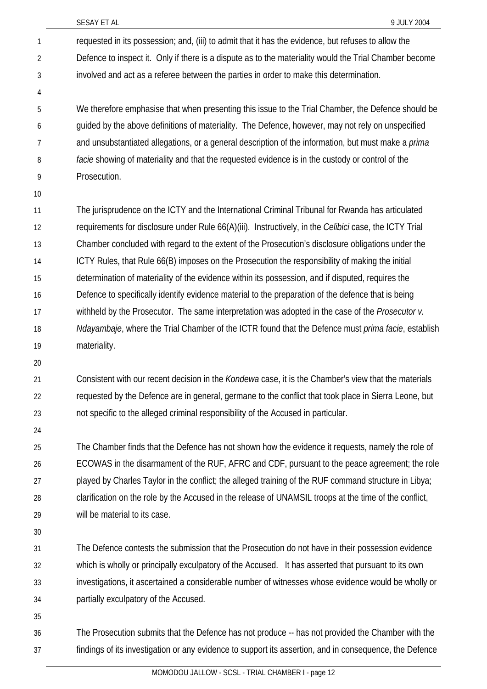SESAY ET AL 8 9 JULY 2004 requested in its possession; and, (iii) to admit that it has the evidence, but refuses to allow the Defence to inspect it. Only if there is a dispute as to the materiality would the Trial Chamber become involved and act as a referee between the parties in order to make this determination. We therefore emphasise that when presenting this issue to the Trial Chamber, the Defence should be guided by the above definitions of materiality. The Defence, however, may not rely on unspecified and unsubstantiated allegations, or a general description of the information, but must make a *prima facie* showing of materiality and that the requested evidence is in the custody or control of the Prosecution. The jurisprudence on the ICTY and the International Criminal Tribunal for Rwanda has articulated requirements for disclosure under Rule 66(A)(iii). Instructively, in the *Celibici* case, the ICTY Trial Chamber concluded with regard to the extent of the Prosecution's disclosure obligations under the ICTY Rules, that Rule 66(B) imposes on the Prosecution the responsibility of making the initial determination of materiality of the evidence within its possession, and if disputed, requires the Defence to specifically identify evidence material to the preparation of the defence that is being withheld by the Prosecutor. The same interpretation was adopted in the case of the *Prosecutor v. Ndayambaje*, where the Trial Chamber of the ICTR found that the Defence must *prima facie*, establish materiality. Consistent with our recent decision in the *Kondewa* case, it is the Chamber's view that the materials requested by the Defence are in general, germane to the conflict that took place in Sierra Leone, but not specific to the alleged criminal responsibility of the Accused in particular. The Chamber finds that the Defence has not shown how the evidence it requests, namely the role of ECOWAS in the disarmament of the RUF, AFRC and CDF, pursuant to the peace agreement; the role 1 2 3 4 5 6 7 8 9 10 11 12 13 14 15 16 17 18 19 20 21 22 23 24 25 26

played by Charles Taylor in the conflict; the alleged training of the RUF command structure in Libya; clarification on the role by the Accused in the release of UNAMSIL troops at the time of the conflict, will be material to its case. 27 28 29

30

The Defence contests the submission that the Prosecution do not have in their possession evidence which is wholly or principally exculpatory of the Accused. It has asserted that pursuant to its own investigations, it ascertained a considerable number of witnesses whose evidence would be wholly or partially exculpatory of the Accused. 31 32 33 34

35

The Prosecution submits that the Defence has not produce -- has not provided the Chamber with the findings of its investigation or any evidence to support its assertion, and in consequence, the Defence 36 37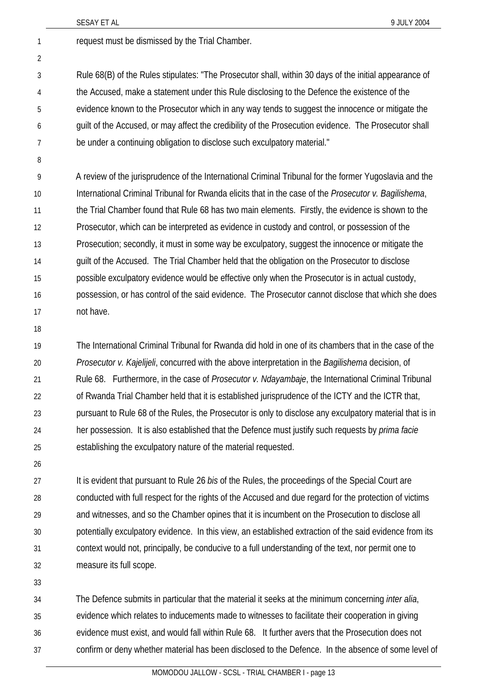|                | SESAY ET AL                                                                                            | 9 JULY 2004 |
|----------------|--------------------------------------------------------------------------------------------------------|-------------|
| 1              | request must be dismissed by the Trial Chamber.                                                        |             |
| $\overline{2}$ |                                                                                                        |             |
| 3              | Rule 68(B) of the Rules stipulates: "The Prosecutor shall, within 30 days of the initial appearance of |             |
| 4              | the Accused, make a statement under this Rule disclosing to the Defence the existence of the           |             |
| 5              | evidence known to the Prosecutor which in any way tends to suggest the innocence or mitigate the       |             |
| 6              | guilt of the Accused, or may affect the credibility of the Prosecution evidence. The Prosecutor shall  |             |
| 7              | be under a continuing obligation to disclose such exculpatory material."                               |             |
| 8              |                                                                                                        |             |
| 9              | A review of the jurisprudence of the International Criminal Tribunal for the former Yugoslavia and the |             |
| 10             | International Criminal Tribunal for Rwanda elicits that in the case of the Prosecutor v. Bagilishema,  |             |
| 11             | the Trial Chamber found that Rule 68 has two main elements. Firstly, the evidence is shown to the      |             |
| 12             | Prosecutor, which can be interpreted as evidence in custody and control, or possession of the          |             |
| 13             | Prosecution; secondly, it must in some way be exculpatory, suggest the innocence or mitigate the       |             |
| 14             | guilt of the Accused. The Trial Chamber held that the obligation on the Prosecutor to disclose         |             |
| 15             | possible exculpatory evidence would be effective only when the Prosecutor is in actual custody,        |             |
| 16             | possession, or has control of the said evidence. The Prosecutor cannot disclose that which she does    |             |
| 17             | not have.                                                                                              |             |
|                |                                                                                                        |             |

18

19 20 21 22 23 24 25 The International Criminal Tribunal for Rwanda did hold in one of its chambers that in the case of the *Prosecutor v. Kajelijeli*, concurred with the above interpretation in the *Bagilishema* decision, of Rule 68. Furthermore, in the case of *Prosecutor v. Ndayambaje*, the International Criminal Tribunal of Rwanda Trial Chamber held that it is established jurisprudence of the ICTY and the ICTR that, pursuant to Rule 68 of the Rules, the Prosecutor is only to disclose any exculpatory material that is in her possession. It is also established that the Defence must justify such requests by *prima facie* establishing the exculpatory nature of the material requested.

 $26$ 

27 28 29 30 31 32 It is evident that pursuant to Rule 26 *bis* of the Rules, the proceedings of the Special Court are conducted with full respect for the rights of the Accused and due regard for the protection of victims and witnesses, and so the Chamber opines that it is incumbent on the Prosecution to disclose all potentially exculpatory evidence. In this view, an established extraction of the said evidence from its context would not, principally, be conducive to a full understanding of the text, nor permit one to measure its full scope.

33

34 35 36 37 The Defence submits in particular that the material it seeks at the minimum concerning *inter alia*, evidence which relates to inducements made to witnesses to facilitate their cooperation in giving evidence must exist, and would fall within Rule 68. It further avers that the Prosecution does not confirm or deny whether material has been disclosed to the Defence. In the absence of some level of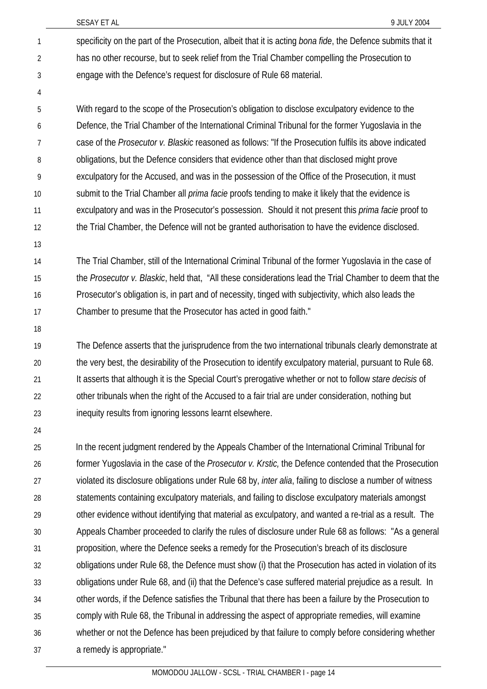- specificity on the part of the Prosecution, albeit that it is acting *bona fide*, the Defence submits that it has no other recourse, but to seek relief from the Trial Chamber compelling the Prosecution to engage with the Defence's request for disclosure of Rule 68 material. 1 2 3
- 4

With regard to the scope of the Prosecution's obligation to disclose exculpatory evidence to the Defence, the Trial Chamber of the International Criminal Tribunal for the former Yugoslavia in the case of the *Prosecutor v. Blaskic* reasoned as follows: "If the Prosecution fulfils its above indicated obligations, but the Defence considers that evidence other than that disclosed might prove exculpatory for the Accused, and was in the possession of the Office of the Prosecution, it must submit to the Trial Chamber all *prima facie* proofs tending to make it likely that the evidence is exculpatory and was in the Prosecutor's possession. Should it not present this *prima facie* proof to the Trial Chamber, the Defence will not be granted authorisation to have the evidence disclosed. 5 6 7 8 9 10 11 12

13

The Trial Chamber, still of the International Criminal Tribunal of the former Yugoslavia in the case of the *Prosecutor v. Blaskic*, held that, "All these considerations lead the Trial Chamber to deem that the Prosecutor's obligation is, in part and of necessity, tinged with subjectivity, which also leads the Chamber to presume that the Prosecutor has acted in good faith." 14 15 16 17

18

The Defence asserts that the jurisprudence from the two international tribunals clearly demonstrate at the very best, the desirability of the Prosecution to identify exculpatory material, pursuant to Rule 68. It asserts that although it is the Special Court's prerogative whether or not to follow *stare decisis* of other tribunals when the right of the Accused to a fair trial are under consideration, nothing but inequity results from ignoring lessons learnt elsewhere. 19 20 21 22 23

24

25 26 27 28 29 30 31 32 33 34 35 36 37 In the recent judgment rendered by the Appeals Chamber of the International Criminal Tribunal for former Yugoslavia in the case of the *Prosecutor v. Krstic,* the Defence contended that the Prosecution violated its disclosure obligations under Rule 68 by, *inter alia*, failing to disclose a number of witness statements containing exculpatory materials, and failing to disclose exculpatory materials amongst other evidence without identifying that material as exculpatory, and wanted a re-trial as a result. The Appeals Chamber proceeded to clarify the rules of disclosure under Rule 68 as follows: "As a general proposition, where the Defence seeks a remedy for the Prosecution's breach of its disclosure obligations under Rule 68, the Defence must show (i) that the Prosecution has acted in violation of its obligations under Rule 68, and (ii) that the Defence's case suffered material prejudice as a result. In other words, if the Defence satisfies the Tribunal that there has been a failure by the Prosecution to comply with Rule 68, the Tribunal in addressing the aspect of appropriate remedies, will examine whether or not the Defence has been prejudiced by that failure to comply before considering whether a remedy is appropriate."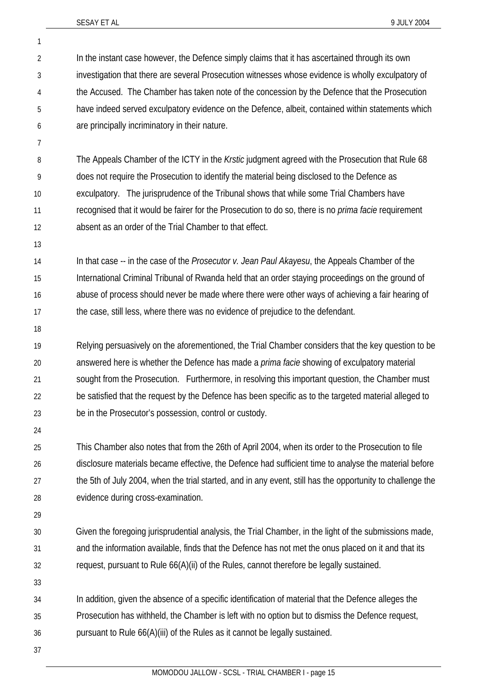1 2

|                | MOMODOLLIALLOW - SCSL - TRIAL CHAMBER L- page 15                                                                                                                                               |
|----------------|------------------------------------------------------------------------------------------------------------------------------------------------------------------------------------------------|
| 37             |                                                                                                                                                                                                |
| 36             | pursuant to Rule 66(A)(iii) of the Rules as it cannot be legally sustained.                                                                                                                    |
| 35             | Prosecution has withheld, the Chamber is left with no option but to dismiss the Defence request,                                                                                               |
| 34             | In addition, given the absence of a specific identification of material that the Defence alleges the                                                                                           |
| 33             |                                                                                                                                                                                                |
| 32             | request, pursuant to Rule 66(A)(ii) of the Rules, cannot therefore be legally sustained.                                                                                                       |
| 31             | and the information available, finds that the Defence has not met the onus placed on it and that its                                                                                           |
| 30             | Given the foregoing jurisprudential analysis, the Trial Chamber, in the light of the submissions made,                                                                                         |
| 29             |                                                                                                                                                                                                |
| 28             | evidence during cross-examination.                                                                                                                                                             |
| 27             | the 5th of July 2004, when the trial started, and in any event, still has the opportunity to challenge the                                                                                     |
| 26             | disclosure materials became effective, the Defence had sufficient time to analyse the material before                                                                                          |
| 25             | This Chamber also notes that from the 26th of April 2004, when its order to the Prosecution to file                                                                                            |
| 24             |                                                                                                                                                                                                |
| 23             | be in the Prosecutor's possession, control or custody.                                                                                                                                         |
| 22             | be satisfied that the request by the Defence has been specific as to the targeted material alleged to                                                                                          |
| 21             | sought from the Prosecution. Furthermore, in resolving this important question, the Chamber must                                                                                               |
| 20             | answered here is whether the Defence has made a <i>prima facie</i> showing of exculpatory material                                                                                             |
| 19             | Relying persuasively on the aforementioned, the Trial Chamber considers that the key question to be                                                                                            |
| 18             |                                                                                                                                                                                                |
| 17             | the case, still less, where there was no evidence of prejudice to the defendant.                                                                                                               |
| 16             | abuse of process should never be made where there were other ways of achieving a fair hearing of                                                                                               |
| 15             | International Criminal Tribunal of Rwanda held that an order staying proceedings on the ground of                                                                                              |
| 14             | In that case -- in the case of the Prosecutor v. Jean Paul Akayesu, the Appeals Chamber of the                                                                                                 |
| 13             |                                                                                                                                                                                                |
| 12             | absent as an order of the Trial Chamber to that effect.                                                                                                                                        |
| 10<br>11       | recognised that it would be fairer for the Prosecution to do so, there is no <i>prima facie</i> requirement                                                                                    |
| 9              | exculpatory. The jurisprudence of the Tribunal shows that while some Trial Chambers have                                                                                                       |
| 8              | The Appeals Chamber of the ICTY in the Krstic judgment agreed with the Prosecution that Rule 68<br>does not require the Prosecution to identify the material being disclosed to the Defence as |
| 7              |                                                                                                                                                                                                |
| 6              | are principally incriminatory in their nature.                                                                                                                                                 |
| 5              | have indeed served exculpatory evidence on the Defence, albeit, contained within statements which                                                                                              |
| 4              | the Accused. The Chamber has taken note of the concession by the Defence that the Prosecution                                                                                                  |
| 3              | investigation that there are several Prosecution witnesses whose evidence is wholly exculpatory of                                                                                             |
| $\overline{2}$ | In the instant case however, the Defence simply claims that it has ascertained through its own                                                                                                 |
|                |                                                                                                                                                                                                |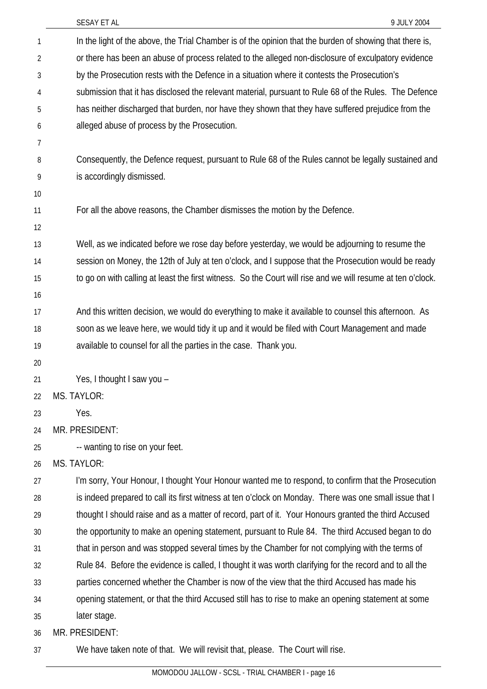|    | 9 JULY 2004<br>SESAY ET AL                                                                                  |
|----|-------------------------------------------------------------------------------------------------------------|
| 1  | In the light of the above, the Trial Chamber is of the opinion that the burden of showing that there is,    |
| 2  | or there has been an abuse of process related to the alleged non-disclosure of exculpatory evidence         |
| 3  | by the Prosecution rests with the Defence in a situation where it contests the Prosecution's                |
| 4  | submission that it has disclosed the relevant material, pursuant to Rule 68 of the Rules. The Defence       |
| 5  | has neither discharged that burden, nor have they shown that they have suffered prejudice from the          |
| 6  | alleged abuse of process by the Prosecution.                                                                |
| 7  |                                                                                                             |
| 8  | Consequently, the Defence request, pursuant to Rule 68 of the Rules cannot be legally sustained and         |
| 9  | is accordingly dismissed.                                                                                   |
| 10 |                                                                                                             |
| 11 | For all the above reasons, the Chamber dismisses the motion by the Defence.                                 |
| 12 |                                                                                                             |
| 13 | Well, as we indicated before we rose day before yesterday, we would be adjourning to resume the             |
| 14 | session on Money, the 12th of July at ten o'clock, and I suppose that the Prosecution would be ready        |
| 15 | to go on with calling at least the first witness. So the Court will rise and we will resume at ten o'clock. |
| 16 |                                                                                                             |
| 17 | And this written decision, we would do everything to make it available to counsel this afternoon. As        |
| 18 | soon as we leave here, we would tidy it up and it would be filed with Court Management and made             |
| 19 | available to counsel for all the parties in the case. Thank you.                                            |
| 20 |                                                                                                             |
| 21 | Yes, I thought I saw you -                                                                                  |
| 22 | MS. TAYLOR:                                                                                                 |
| 23 | Yes.                                                                                                        |
| 24 | MR. PRESIDENT:                                                                                              |
| 25 | -- wanting to rise on your feet.                                                                            |
| 26 | <b>MS. TAYLOR:</b>                                                                                          |
| 27 | I'm sorry, Your Honour, I thought Your Honour wanted me to respond, to confirm that the Prosecution         |
| 28 | is indeed prepared to call its first witness at ten o'clock on Monday. There was one small issue that I     |
| 29 | thought I should raise and as a matter of record, part of it. Your Honours granted the third Accused        |
| 30 | the opportunity to make an opening statement, pursuant to Rule 84. The third Accused began to do            |
| 31 | that in person and was stopped several times by the Chamber for not complying with the terms of             |
| 32 | Rule 84. Before the evidence is called, I thought it was worth clarifying for the record and to all the     |
| 33 | parties concerned whether the Chamber is now of the view that the third Accused has made his                |
| 34 | opening statement, or that the third Accused still has to rise to make an opening statement at some         |
| 35 | later stage.                                                                                                |
| 36 | MR. PRESIDENT:                                                                                              |
| 37 | We have taken note of that. We will revisit that, please. The Court will rise.                              |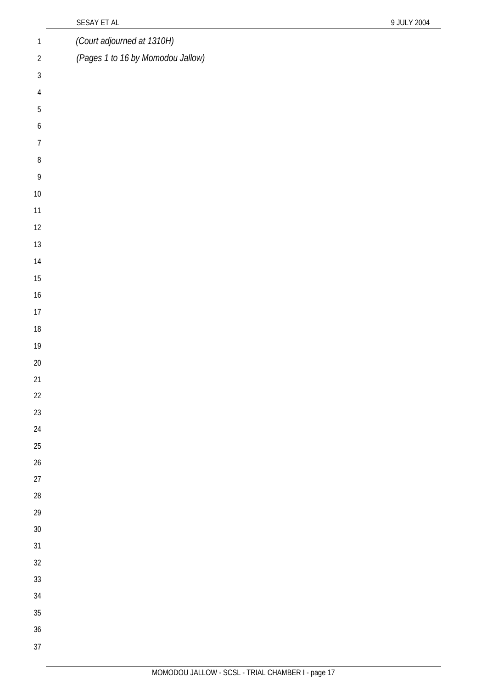|                  | SESAY ET AL                       | 9 JULY 2004 |
|------------------|-----------------------------------|-------------|
| $\mathbbm{1}$    | (Court adjourned at 1310H)        |             |
| $\sqrt{2}$       | (Pages 1 to 16 by Momodou Jallow) |             |
| $\sqrt{3}$       |                                   |             |
| $\overline{4}$   |                                   |             |
| $\sqrt{5}$       |                                   |             |
| $\boldsymbol{6}$ |                                   |             |
| $\overline{7}$   |                                   |             |
| $\, 8$           |                                   |             |
| $\,9$            |                                   |             |
| $10\,$           |                                   |             |
| 11               |                                   |             |
| 12               |                                   |             |
| $13\,$           |                                   |             |
| $14$             |                                   |             |
| $15\,$           |                                   |             |
| $16\,$           |                                   |             |
| $17\,$           |                                   |             |
| $18\,$           |                                   |             |
| $19\,$           |                                   |             |
| $20\,$           |                                   |             |
| 21               |                                   |             |
| $22\,$           |                                   |             |
| $23\,$           |                                   |             |
| $24\,$           |                                   |             |
| $25\,$           |                                   |             |
| $26\,$           |                                   |             |
| $27\,$           |                                   |             |
| $28\,$           |                                   |             |
| $29\,$           |                                   |             |
| $30\,$<br>$31\,$ |                                   |             |
| $32\,$           |                                   |             |
| $33\,$           |                                   |             |
| $34\,$           |                                   |             |
| $35\,$           |                                   |             |
| $36\,$           |                                   |             |
| 37               |                                   |             |
|                  |                                   |             |